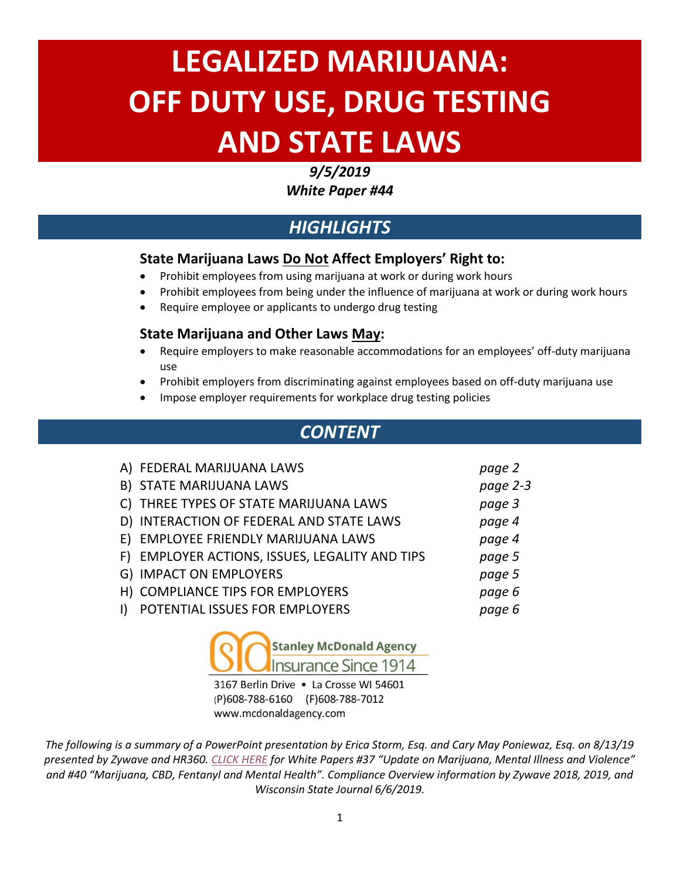# **LEGALIZED MARIJUANA: OFF DUTY USE, DRUG TESTING AND STATE LAWS**

#### *9/5/2019*

*White Paper #44*

# *HIGHLIGHTS*

## **State Marijuana Laws Do Not Affect Employers' Right to:**

- Prohibit employees from using marijuana at work or during work hours
- Prohibit employees from being under the influence of marijuana at work or during work hours
- Require employee or applicants to undergo drug testing

## **State Marijuana and Other Laws May:**

- Require employers to make reasonable accommodations for an employees' off-duty marijuana use
- Prohibit employers from discriminating against employees based on off-duty marijuana use
- Impose employer requirements for workplace drug testing policies

# *CONTENT*

| A) FEDERAL MARIJUANA LAWS                      | page 2   |
|------------------------------------------------|----------|
| B) STATE MARIJUANA LAWS                        | page 2-3 |
| C) THREE TYPES OF STATE MARIJUANA LAWS         | page 3   |
| D) INTERACTION OF FEDERAL AND STATE LAWS       | page 4   |
| E) EMPLOYEE FRIENDLY MARIJUANA LAWS            | page 4   |
| F) EMPLOYER ACTIONS, ISSUES, LEGALITY AND TIPS | page 5   |
| G) IMPACT ON EMPLOYERS                         | page 5   |
| H) COMPLIANCE TIPS FOR EMPLOYERS               | page 6   |
| POTENTIAL ISSUES FOR EMPLOYERS                 | page 6   |



3167 Berlin Drive . La Crosse WI 54601 (P)608-788-6160 (F)608-788-7012 www.mcdonaldagency.com

*The following is a summary of a PowerPoint presentation by Erica Storm, Esq. and Cary May Poniewaz, Esq. on 8/13/19 presented by Zywave and HR360. [CLICK HERE](https://armitageinconline.com/insurance-publications/white-papers/) for White Papers #37 "Update on Marijuana, Mental Illness and Violence" and #40 "Marijuana, CBD, Fentanyl and Mental Health". Compliance Overview information by Zywave 2018, 2019, and Wisconsin State Journal 6/6/2019.*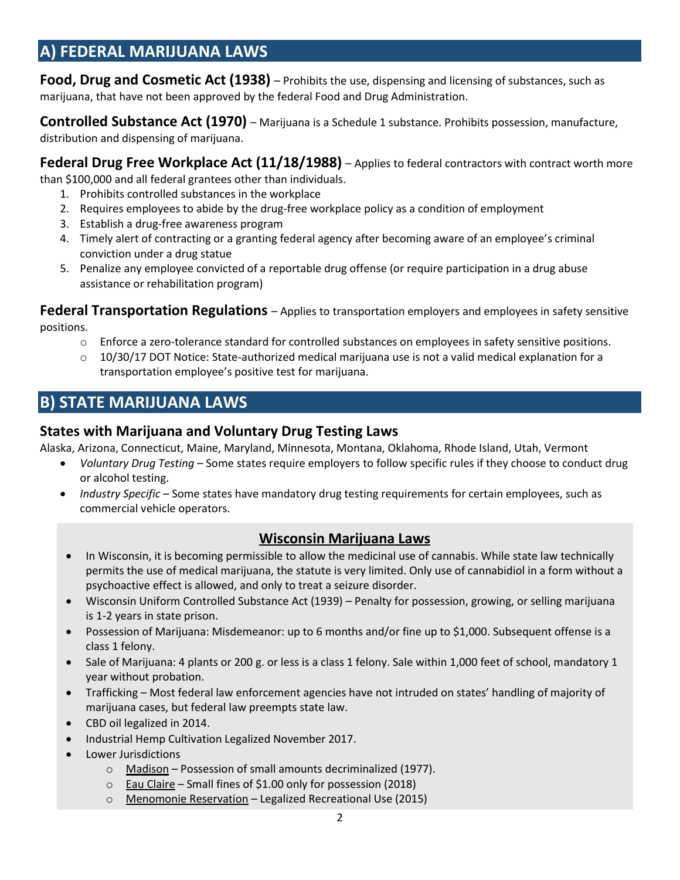# **A) FEDERAL MARIJUANA LAWS**

**Food, Drug and Cosmetic Act (1938)** – Prohibits the use, dispensing and licensing of substances, such as marijuana, that have not been approved by the federal Food and Drug Administration.

**Controlled Substance Act (1970)** – Marijuana is a Schedule 1 substance. Prohibits possession, manufacture, distribution and dispensing of marijuana.

**Federal Drug Free Workplace Act (11/18/1988)** – Applies to federal contractors with contract worth more

than \$100,000 and all federal grantees other than individuals.

- 1. Prohibits controlled substances in the workplace
- 2. Requires employees to abide by the drug-free workplace policy as a condition of employment
- 3. Establish a drug-free awareness program
- 4. Timely alert of contracting or a granting federal agency after becoming aware of an employee's criminal conviction under a drug statue
- 5. Penalize any employee convicted of a reportable drug offense (or require participation in a drug abuse assistance or rehabilitation program)

**Federal Transportation Regulations** – Applies to transportation employers and employees in safety sensitive positions.

- o Enforce a zero-tolerance standard for controlled substances on employees in safety sensitive positions.
- $\circ$  10/30/17 DOT Notice: State-authorized medical marijuana use is not a valid medical explanation for a transportation employee's positive test for marijuana.

# **B) STATE MARIJUANA LAWS**

## **States with Marijuana and Voluntary Drug Testing Laws**

Alaska, Arizona, Connecticut, Maine, Maryland, Minnesota, Montana, Oklahoma, Rhode Island, Utah, Vermont

- *Voluntary Drug Testing* Some states require employers to follow specific rules if they choose to conduct drug or alcohol testing.
- *Industry Specific* Some states have mandatory drug testing requirements for certain employees, such as commercial vehicle operators.

## **Wisconsin Marijuana Laws**

- In Wisconsin, it is becoming permissible to allow the medicinal use of cannabis. While state law technically permits the use of medical marijuana, the statute is very limited. Only use of cannabidiol in a form without a psychoactive effect is allowed, and only to treat a seizure disorder.
- Wisconsin Uniform Controlled Substance Act (1939) Penalty for possession, growing, or selling marijuana is 1-2 years in state prison.
- Possession of Marijuana: Misdemeanor: up to 6 months and/or fine up to \$1,000. Subsequent offense is a class 1 felony.
- Sale of Marijuana: 4 plants or 200 g. or less is a class 1 felony. Sale within 1,000 feet of school, mandatory 1 year without probation.
- Trafficking Most federal law enforcement agencies have not intruded on states' handling of majority of marijuana cases, but federal law preempts state law.
- CBD oil legalized in 2014.
- Industrial Hemp Cultivation Legalized November 2017.
- Lower Jurisdictions
	- o Madison Possession of small amounts decriminalized (1977).
	- $\circ$  Eau Claire Small fines of \$1.00 only for possession (2018)
	- o Menomonie Reservation Legalized Recreational Use (2015)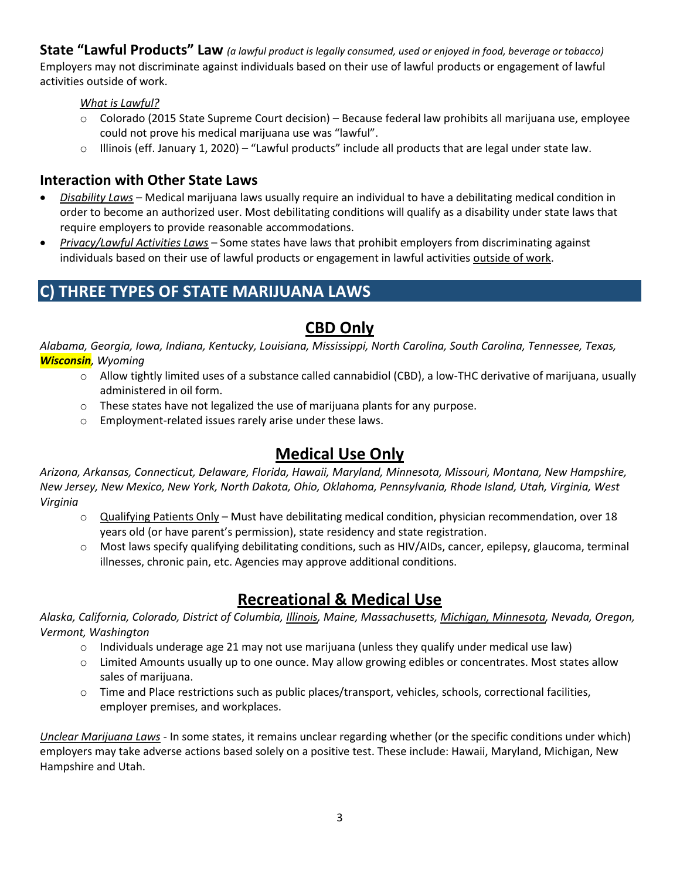**State "Lawful Products" Law** *(a lawful product is legally consumed, used or enjoyed in food, beverage or tobacco)* Employers may not discriminate against individuals based on their use of lawful products or engagement of lawful activities outside of work.

*What is Lawful?* 

- o Colorado (2015 State Supreme Court decision) Because federal law prohibits all marijuana use, employee could not prove his medical marijuana use was "lawful".
- $\circ$  Illinois (eff. January 1, 2020) "Lawful products" include all products that are legal under state law.

#### **Interaction with Other State Laws**

- *Disability Laws* Medical marijuana laws usually require an individual to have a debilitating medical condition in order to become an authorized user. Most debilitating conditions will qualify as a disability under state laws that require employers to provide reasonable accommodations.
- *Privacy/Lawful Activities Laws* Some states have laws that prohibit employers from discriminating against individuals based on their use of lawful products or engagement in lawful activities outside of work.

# **C) THREE TYPES OF STATE MARIJUANA LAWS**

## **CBD Only**

*Alabama, Georgia, Iowa, Indiana, Kentucky, Louisiana, Mississippi, North Carolina, South Carolina, Tennessee, Texas, Wisconsin, Wyoming*

- o Allow tightly limited uses of a substance called cannabidiol (CBD), a low-THC derivative of marijuana, usually administered in oil form.
- o These states have not legalized the use of marijuana plants for any purpose.
- o Employment-related issues rarely arise under these laws.

# **Medical Use Only**

*Arizona, Arkansas, Connecticut, Delaware, Florida, Hawaii, Maryland, Minnesota, Missouri, Montana, New Hampshire, New Jersey, New Mexico, New York, North Dakota, Ohio, Oklahoma, Pennsylvania, Rhode Island, Utah, Virginia, West Virginia*

- o Qualifying Patients Only Must have debilitating medical condition, physician recommendation, over 18 years old (or have parent's permission), state residency and state registration.
- o Most laws specify qualifying debilitating conditions, such as HIV/AIDs, cancer, epilepsy, glaucoma, terminal illnesses, chronic pain, etc. Agencies may approve additional conditions.

# **Recreational & Medical Use**

*Alaska, California, Colorado, District of Columbia, Illinois, Maine, Massachusetts, Michigan, Minnesota, Nevada, Oregon, Vermont, Washington*

- $\circ$  Individuals underage age 21 may not use marijuana (unless they qualify under medical use law)
- $\circ$  Limited Amounts usually up to one ounce. May allow growing edibles or concentrates. Most states allow sales of marijuana.
- $\circ$  Time and Place restrictions such as public places/transport, vehicles, schools, correctional facilities, employer premises, and workplaces.

*Unclear Marijuana Laws* - In some states, it remains unclear regarding whether (or the specific conditions under which) employers may take adverse actions based solely on a positive test. These include: Hawaii, Maryland, Michigan, New Hampshire and Utah.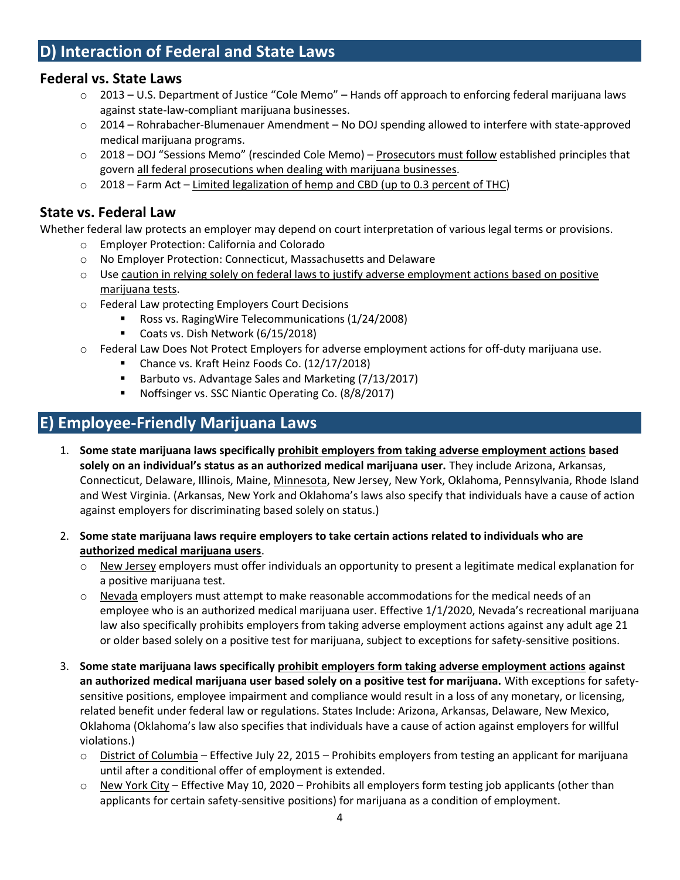## **Federal vs. State Laws**

- $\circ$  2013 U.S. Department of Justice "Cole Memo" Hands off approach to enforcing federal marijuana laws against state-law-compliant marijuana businesses.
- o 2014 Rohrabacher-Blumenauer Amendment No DOJ spending allowed to interfere with state-approved medical marijuana programs.
- o 2018 DOJ "Sessions Memo" (rescinded Cole Memo) Prosecutors must follow established principles that govern all federal prosecutions when dealing with marijuana businesses.
- $\circ$  2018 Farm Act Limited legalization of hemp and CBD (up to 0.3 percent of THC)

## **State vs. Federal Law**

Whether federal law protects an employer may depend on court interpretation of various legal terms or provisions.

- o Employer Protection: California and Colorado
- o No Employer Protection: Connecticut, Massachusetts and Delaware
- o Use caution in relying solely on federal laws to justify adverse employment actions based on positive marijuana tests.
- o Federal Law protecting Employers Court Decisions
	- Ross vs. RagingWire Telecommunications (1/24/2008)
	- Coats vs. Dish Network (6/15/2018)
- o Federal Law Does Not Protect Employers for adverse employment actions for off-duty marijuana use.
	- Chance vs. Kraft Heinz Foods Co. (12/17/2018)
	- Barbuto vs. Advantage Sales and Marketing (7/13/2017)
	- Noffsinger vs. SSC Niantic Operating Co. (8/8/2017)

# **E) Employee-Friendly Marijuana Laws**

- 1. **Some state marijuana laws specifically prohibit employers from taking adverse employment actions based solely on an individual's status as an authorized medical marijuana user.** They include Arizona, Arkansas, Connecticut, Delaware, Illinois, Maine, Minnesota, New Jersey, New York, Oklahoma, Pennsylvania, Rhode Island and West Virginia. (Arkansas, New York and Oklahoma's laws also specify that individuals have a cause of action against employers for discriminating based solely on status.)
- 2. **Some state marijuana laws require employers to take certain actions related to individuals who are authorized medical marijuana users**.
	- $\circ$  New Jersey employers must offer individuals an opportunity to present a legitimate medical explanation for a positive marijuana test.
	- o Nevada employers must attempt to make reasonable accommodations for the medical needs of an employee who is an authorized medical marijuana user. Effective 1/1/2020, Nevada's recreational marijuana law also specifically prohibits employers from taking adverse employment actions against any adult age 21 or older based solely on a positive test for marijuana, subject to exceptions for safety-sensitive positions.
- 3. **Some state marijuana laws specifically prohibit employers form taking adverse employment actions against an authorized medical marijuana user based solely on a positive test for marijuana.** With exceptions for safetysensitive positions, employee impairment and compliance would result in a loss of any monetary, or licensing, related benefit under federal law or regulations. States Include: Arizona, Arkansas, Delaware, New Mexico, Oklahoma (Oklahoma's law also specifies that individuals have a cause of action against employers for willful violations.)
	- $\circ$  District of Columbia Effective July 22, 2015 Prohibits employers from testing an applicant for marijuana until after a conditional offer of employment is extended.
	- $\circ$  New York City Effective May 10, 2020 Prohibits all employers form testing job applicants (other than applicants for certain safety-sensitive positions) for marijuana as a condition of employment.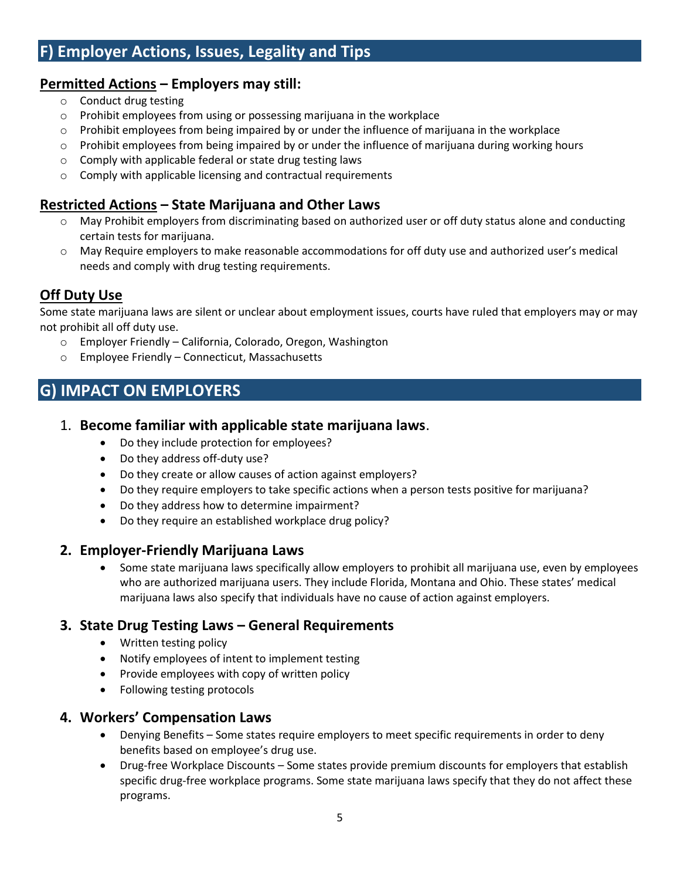# **F) Employer Actions, Issues, Legality and Tips**

## **Permitted Actions – Employers may still:**

- o Conduct drug testing
- o Prohibit employees from using or possessing marijuana in the workplace
- $\circ$  Prohibit employees from being impaired by or under the influence of marijuana in the workplace
- o Prohibit employees from being impaired by or under the influence of marijuana during working hours
- o Comply with applicable federal or state drug testing laws
- o Comply with applicable licensing and contractual requirements

## **Restricted Actions – State Marijuana and Other Laws**

- $\circ$  May Prohibit employers from discriminating based on authorized user or off duty status alone and conducting certain tests for marijuana.
- o May Require employers to make reasonable accommodations for off duty use and authorized user's medical needs and comply with drug testing requirements.

## **Off Duty Use**

Some state marijuana laws are silent or unclear about employment issues, courts have ruled that employers may or may not prohibit all off duty use.

- o Employer Friendly California, Colorado, Oregon, Washington
- o Employee Friendly Connecticut, Massachusetts

# **G) IMPACT ON EMPLOYERS**

## 1. **Become familiar with applicable state marijuana laws**.

- Do they include protection for employees?
- Do they address off-duty use?
- Do they create or allow causes of action against employers?
- Do they require employers to take specific actions when a person tests positive for marijuana?
- Do they address how to determine impairment?
- Do they require an established workplace drug policy?

#### **2. Employer-Friendly Marijuana Laws**

• Some state marijuana laws specifically allow employers to prohibit all marijuana use, even by employees who are authorized marijuana users. They include Florida, Montana and Ohio. These states' medical marijuana laws also specify that individuals have no cause of action against employers.

## **3. State Drug Testing Laws – General Requirements**

- Written testing policy
- Notify employees of intent to implement testing
- Provide employees with copy of written policy
- Following testing protocols

#### **4. Workers' Compensation Laws**

- Denying Benefits Some states require employers to meet specific requirements in order to deny benefits based on employee's drug use.
- Drug-free Workplace Discounts Some states provide premium discounts for employers that establish specific drug-free workplace programs. Some state marijuana laws specify that they do not affect these programs.